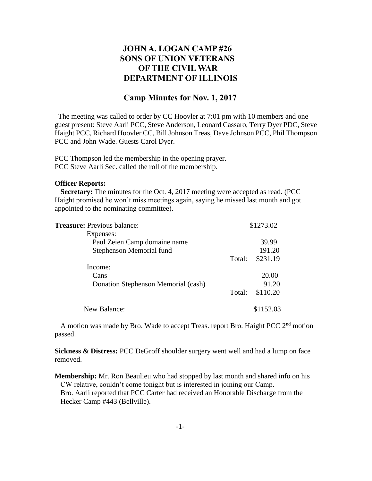## **JOHN A. LOGAN CAMP #26 SONS OF UNION VETERANS OF THE CIVIL WAR DEPARTMENT OF ILLINOIS**

## **Camp Minutes for Nov. 1, 2017**

The meeting was called to order by CC Hoovler at 7:01 pm with 10 members and one guest present: Steve Aarli PCC, Steve Anderson, Leonard Cassaro, Terry Dyer PDC, Steve Haight PCC, Richard Hoovler CC, Bill Johnson Treas, Dave Johnson PCC, Phil Thompson PCC and John Wade. Guests Carol Dyer.

PCC Thompson led the membership in the opening prayer. PCC Steve Aarli Sec. called the roll of the membership.

## **Officer Reports:**

 **Secretary:** The minutes for the Oct. 4, 2017 meeting were accepted as read. (PCC Haight promised he won't miss meetings again, saying he missed last month and got appointed to the nominating committee).

| <b>Treasure:</b> Previous balance:  | \$1273.02 |           |
|-------------------------------------|-----------|-----------|
| Expenses:                           |           |           |
| Paul Zeien Camp domaine name        |           | 39.99     |
| Stephenson Memorial fund            |           | 191.20    |
|                                     | Total:    | \$231.19  |
| Income:                             |           |           |
| Cans                                |           | 20.00     |
| Donation Stephenson Memorial (cash) |           | 91.20     |
|                                     | Total:    | \$110.20  |
| New Balance:                        |           | \$1152.03 |

 A motion was made by Bro. Wade to accept Treas. report Bro. Haight PCC 2nd motion passed.

**Sickness & Distress:** PCC DeGroff shoulder surgery went well and had a lump on face removed.

**Membership:** Mr. Ron Beaulieu who had stopped by last month and shared info on his CW relative, couldn't come tonight but is interested in joining our Camp. Bro. Aarli reported that PCC Carter had received an Honorable Discharge from the Hecker Camp #443 (Bellville).